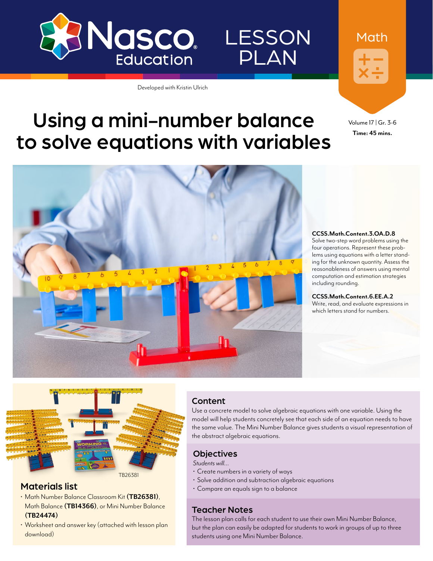

**LESSON** 

PLAN

# Using a mini-number balance to solve equations with variables

Developed with Kristin Ulrich



#### **CCSS.Math.Content.3.OA.D.8**

Solve two-step word problems using the four operations. Represent these problems using equations with a letter standing for the unknown quantity. Assess the reasonableness of answers using mental computation and estimation strategies including rounding.

Volume 17 | Gr. 3-6 **Time: 45 mins.**

Math

**CCSS.Math.Content.6.EE.A.2** Write, read, and evaluate expressions in which letters stand for numbers.



### Materials list

- Math Number Balance Classroom Kit **([TB26381\)](http://www.enasco.com/p/TB26381)**, Math Balance **[\(TB14366](http://www.enasco.com/p/TB14366))**, or Mini Number Balance **([TB24474](http://www.enasco.com/p/TB24474))**
- Worksheet and answer key (attached with lesson plan download)

### Content

Use a concrete model to solve algebraic equations with one variable. Using the model will help students concretely see that each side of an equation needs to have the same value. The Mini Number Balance gives students a visual representation of the abstract algebraic equations.

#### **Objectives**

*Students will…*

- Create numbers in a variety of ways
- Solve addition and subtraction algebraic equations
- Compare an equals sign to a balance

#### Teacher Notes

The lesson plan calls for each student to use their own Mini Number Balance, but the plan can easily be adapted for students to work in groups of up to three students using one Mini Number Balance.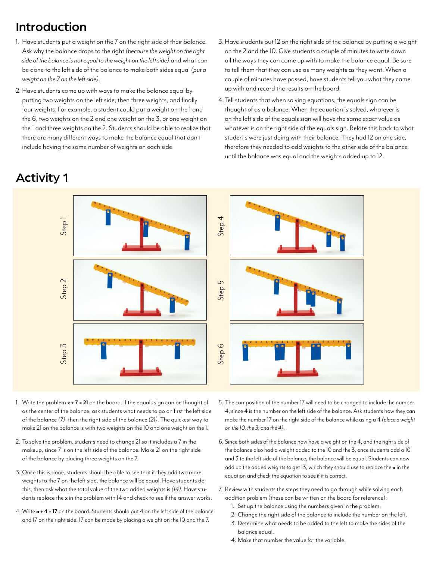### Introduction

- 1. Have students put a weight on the 7 on the right side of their balance. Ask why the balance drops to the right *(because the weight on the right side of the balance is not equal to the weight on the left side)* and what can be done to the left side of the balance to make both sides equal *(put a weight on the 7 on the left side)*.
- 2. Have students come up with ways to make the balance equal by putting two weights on the left side, then three weights, and finally four weights. For example, a student could put a weight on the 1 and the 6, two weights on the 2 and one weight on the 3, or one weight on the 1 and three weights on the 2. Students should be able to realize that there are many different ways to make the balance equal that don't include having the same number of weights on each side.
- Activity 1
- 3.Have students put 12 on the right side of the balance by putting a weight on the 2 and the 10. Give students a couple of minutes to write down all the ways they can come up with to make the balance equal. Be sure to tell them that they can use as many weights as they want. When a couple of minutes have passed, have students tell you what they came up with and record the results on the board.
- 4.Tell students that when solving equations, the equals sign can be thought of as a balance. When the equation is solved, whatever is on the left side of the equals sign will have the same exact value as whatever is on the right side of the equals sign. Relate this back to what students were just doing with their balance. They had 12 on one side, therefore they needed to add weights to the other side of the balance until the balance was equal and the weights added up to 12.



- 1. Write the problem **x + 7 = 21** on the board. If the equals sign can be thought of as the center of the balance, ask students what needs to go on first the left side of the balance *(7)*, then the right side of the balance *(21)*. The quickest way to make 21 on the balance is with two weights on the 10 and one weight on the 1.
- 2. To solve the problem, students need to change 21 so it includes a 7 in the makeup, since 7 is on the left side of the balance. Make 21 on the right side of the balance by placing three weights on the 7.
- 3. Once this is done, students should be able to see that if they add two more weights to the 7 on the left side, the balance will be equal. Have students do this, then ask what the total value of the two added weights is *(14)*. Have students replace the **x** in the problem with 14 and check to see if the answer works.
- 4. Write **a + 4 = 17** on the board. Students should put 4 on the left side of the balance and 17 on the right side. 17 can be made by placing a weight on the 10 and the 7.
- 5. The composition of the number 17 will need to be changed to include the number 4, since 4 is the number on the left side of the balance. Ask students how they can make the number 17 on the right side of the balance while using a 4 *(place a weight on the 10, the 3, and the 4)*.
- 6. Since both sides of the balance now have a weight on the 4, and the right side of the balance also had a weight added to the 10 and the 3, once students add a 10 and 3 to the left side of the balance, the balance will be equal. Students can now add up the added weights to get 13, which they should use to replace the **a** in the equation and check the equation to see if it is correct.
- 7. Review with students the steps they need to go through while solving each addition problem (these can be written on the board for reference):
	- 1. Set up the balance using the numbers given in the problem.
	- 2. Change the right side of the balance to include the number on the left.
	- 3. Determine what needs to be added to the left to make the sides of the balance equal.
	- 4. Make that number the value for the variable.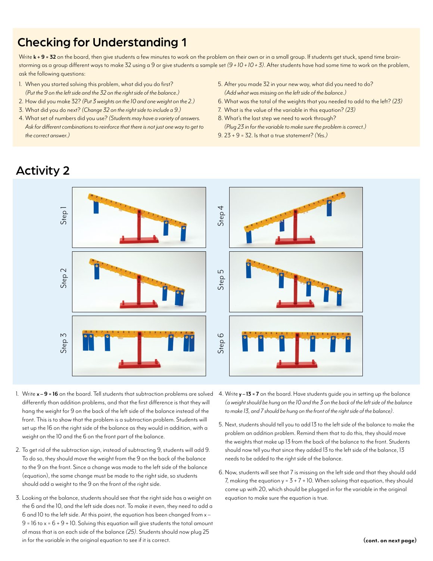### Checking for Understanding 1

Write  $\bf{k}$  + 9 = 32 on the board, then give students a few minutes to work on the problem on their own or in a small group. If students get stuck, spend time brainstorming as a group different ways to make 32 using a 9 or give students a sample set *(9 + 10 + 10 + 3)*. After students have had some time to work on the problem, ask the following questions:

- 1. When you started solving this problem, what did you do first? *(Put the 9 on the left side and the 32 on the right side of the balance.)*
- 2. How did you make 32? *(Put 3 weights on the 10 and one weight on the 2.)*
- 3. What did you do next? *(Change 32 on the right side to include a 9.)*
- 4. What set of numbers did you use? *(Students may have a variety of answers.*  Ask for different combinations to reinforce that there is not just one way to get to *the correct answer.)*
- 5. After you made 32 in your new way, what did you need to do? *(Add what was missing on the left side of the balance.)*
- 6. What was the total of the weights that you needed to add to the left? *(23)*
- 7. What is the value of the variable in this equation? *(23)*
- 8. What's the last step we need to work through? *(Plug 23 in for the variable to make sure the problem is correct.)*
- 9. 23 + 9 = 32. Is that a true statement? *(Yes.)*

### Activity 2



- 1. Write **x 9 = 16** on the board. Tell students that subtraction problems are solved differently than addition problems, and that the first difference is that they will hang the weight for 9 on the back of the left side of the balance instead of the front. This is to show that the problem is a subtraction problem. Students will set up the 16 on the right side of the balance as they would in addition, with a weight on the 10 and the 6 on the front part of the balance.
- 2. To get rid of the subtraction sign, instead of subtracting 9, students will add 9. To do so, they should move the weight from the 9 on the back of the balance to the 9 on the front. Since a change was made to the left side of the balance (equation), the same change must be made to the right side, so students should add a weight to the 9 on the front of the right side.
- 3. Looking at the balance, students should see that the right side has a weight on the 6 and the 10, and the left side does not. To make it even, they need to add a 6 and 10 to the left side. At this point, the equation has been changed from x –  $9 = 16$  to  $x = 6 + 9 + 10$ . Solving this equation will give students the total amount of mass that is on each side of the balance *(25)*. Students should now plug 25 in for the variable in the original equation to see if it is correct.
- 4. Write **y 13 = 7** on the board. Have students guide you in setting up the balance *(a weight should be hung on the 10 and the 3 on the back of the left side of the balance to make 13, and 7 should be hung on the front of the right side of the balance)*.
- 5. Next, students should tell you to add 13 to the left side of the balance to make the problem an addition problem. Remind them that to do this, they should move the weights that make up 13 from the back of the balance to the front. Students should now tell you that since they added 13 to the left side of the balance, 13 needs to be added to the right side of the balance.
- 6. Now, students will see that 7 is missing on the left side and that they should add 7, making the equation  $y = 3 + 7 + 10$ . When solving that equation, they should come up with 20, which should be plugged in for the variable in the original equation to make sure the equation is true.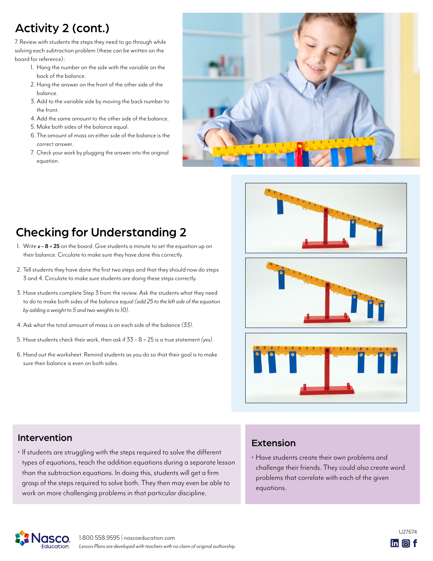# Activity 2 (cont.)

7. Review with students the steps they need to go through while solving each subtraction problem (these can be written on the board for reference):

- 1. Hang the number on the side with the variable on the back of the balance.
- 2. Hang the answer on the front of the other side of the balance.
- 3. Add to the variable side by moving the back number to the front.
- 4.Add the same amount to the other side of the balance.
- 5. Make both sides of the balance equal.
- 6. The amount of mass on either side of the balance is the correct answer.
- 7. Check your work by plugging the answer into the original equation.



# Checking for Understanding 2

- 1. Write **z 8 = 25** on the board. Give students a minute to set the equation up on their balance. Circulate to make sure they have done this correctly.
- 2. Tell students they have done the first two steps and that they should now do steps 3 and 4. Circulate to make sure students are doing these steps correctly.
- 3. Have students complete Step 3 from the review. Ask the students what they need to do to make both sides of the balance equal *(add 25 to the left side of the equation by adding a weight to 5 and two weights to 10)*.
- 4. Ask what the total amount of mass is on each side of the balance *(33)*.
- 5. Have students check their work, then ask if 33 8 = 25 is a true statement *(yes)*.
- 6. Hand out the worksheet. Remind students as you do so that their goal is to make sure their balance is even on both sides.







### Intervention

• If students are struggling with the steps required to solve the different types of equations, teach the addition equations during a separate lesson than the subtraction equations. In doing this, students will get a firm grasp of the steps required to solve both. They then may even be able to work on more challenging problems in that particular discipline.

### Extension

• Have students create their own problems and challenge their friends. They could also create word problems that correlate with each of the given equations.



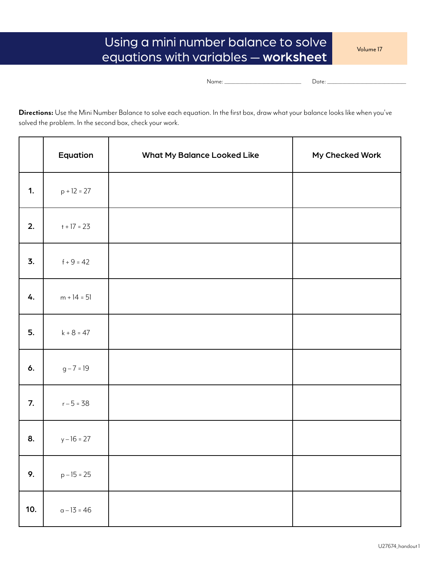## Using a mini number balance to solve equations with variables — worksheet

Volume 17

Name: \_\_\_\_\_\_\_\_\_\_\_\_\_\_\_\_\_\_\_\_\_\_\_\_\_\_\_\_\_\_\_\_\_\_\_ Date: \_\_\_\_\_\_\_\_\_\_\_\_\_\_\_\_\_\_\_\_\_\_\_\_\_\_\_\_\_\_\_\_\_\_\_\_

**Directions:** Use the Mini Number Balance to solve each equation. In the first box, draw what your balance looks like when you've solved the problem. In the second box, check your work.

|     | Equation      | What My Balance Looked Like | My Checked Work |
|-----|---------------|-----------------------------|-----------------|
| 1.  | $p + 12 = 27$ |                             |                 |
| 2.  | $t + 17 = 23$ |                             |                 |
| 3.  | $f + 9 = 42$  |                             |                 |
| 4.  | $m + 14 = 51$ |                             |                 |
| 5.  | $k + 8 = 47$  |                             |                 |
| 6.  | $g - 7 = 19$  |                             |                 |
| 7.  | $r - 5 = 38$  |                             |                 |
| 8.  | $y - 16 = 27$ |                             |                 |
| 9.  | $p - 15 = 25$ |                             |                 |
| 10. | $a - 13 = 46$ |                             |                 |